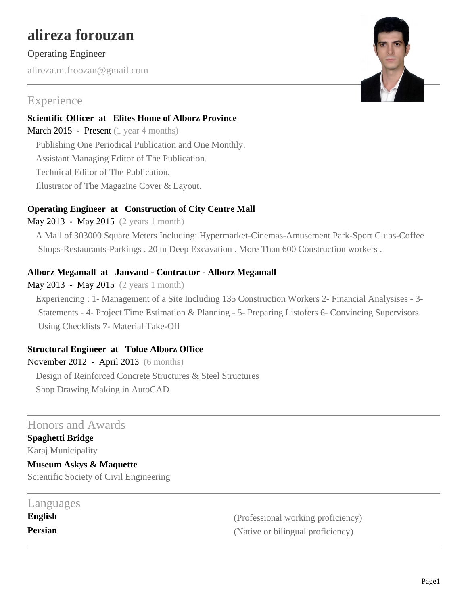# **alireza forouzan**

#### Operating Engineer

alireza.m.froozan@gmail.com

## Experience

**Scientific Officer at Elites Home of Alborz Province** March 2015 - Present (1 year 4 months) Publishing One Periodical Publication and One Monthly.

Assistant Managing Editor of The Publication.

Technical Editor of The Publication.

Illustrator of The Magazine Cover & Layout.

#### **Operating Engineer at Construction of City Centre Mall**

May 2013 - May 2015 (2 years 1 month)

A Mall of 303000 Square Meters Including: Hypermarket-Cinemas-Amusement Park-Sport Clubs-Coffee Shops-Restaurants-Parkings . 20 m Deep Excavation . More Than 600 Construction workers .

#### **Alborz Megamall at Janvand - Contractor - Alborz Megamall**

May 2013 - May 2015 (2 years 1 month)

Experiencing : 1- Management of a Site Including 135 Construction Workers 2- Financial Analysises - 3- Statements - 4- Project Time Estimation & Planning - 5- Preparing Listofers 6- Convincing Supervisors Using Checklists 7- Material Take-Off

#### **Structural Engineer at Tolue Alborz Office**

November 2012 - April 2013 (6 months) Design of Reinforced Concrete Structures & Steel Structures Shop Drawing Making in AutoCAD

### Honors and Awards

**Spaghetti Bridge** Karaj Municipality

**Museum Askys & Maquette** Scientific Society of Civil Engineering

| Languages |                                    |
|-----------|------------------------------------|
| English   | (Professional working proficiency) |
| Persian   | (Native or bilingual proficiency)  |

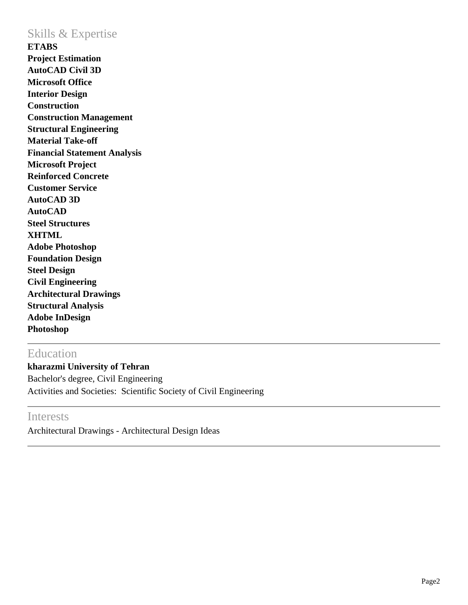### Skills & Expertise

**ETABS Project Estimation AutoCAD Civil 3D Microsoft Office Interior Design Construction Construction Management Structural Engineering Material Take-off Financial Statement Analysis Microsoft Project Reinforced Concrete Customer Service AutoCAD 3D AutoCAD Steel Structures XHTML Adobe Photoshop Foundation Design Steel Design Civil Engineering Architectural Drawings Structural Analysis Adobe InDesign Photoshop**

## Education

**kharazmi University of Tehran** Bachelor's degree, Civil Engineering Activities and Societies: Scientific Society of Civil Engineering

## **Interests**

Architectural Drawings - Architectural Design Ideas